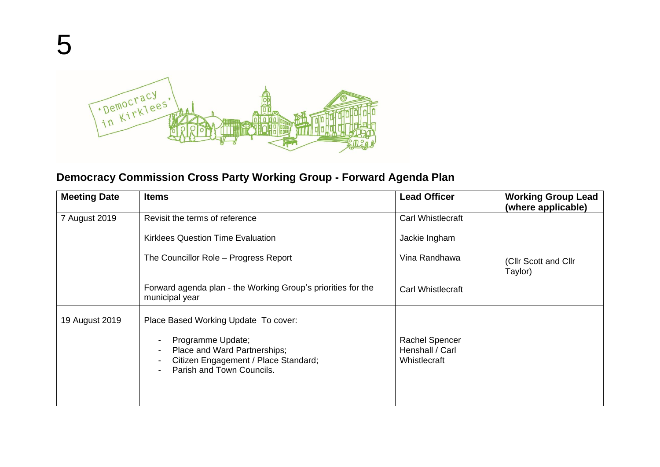

## **Democracy Commission Cross Party Working Group - Forward Agenda Plan**

| <b>Meeting Date</b> | <b>Items</b>                                                                                                                                                   | <b>Lead Officer</b>                                      | <b>Working Group Lead</b><br>(where applicable) |
|---------------------|----------------------------------------------------------------------------------------------------------------------------------------------------------------|----------------------------------------------------------|-------------------------------------------------|
| 7 August 2019       | Revisit the terms of reference                                                                                                                                 | Carl Whistlecraft                                        |                                                 |
|                     | <b>Kirklees Question Time Evaluation</b>                                                                                                                       | Jackie Ingham                                            |                                                 |
|                     | The Councillor Role - Progress Report                                                                                                                          | Vina Randhawa                                            | (Cllr Scott and Cllr<br>Taylor)                 |
|                     | Forward agenda plan - the Working Group's priorities for the<br>municipal year                                                                                 | <b>Carl Whistlecraft</b>                                 |                                                 |
| 19 August 2019      | Place Based Working Update To cover:<br>Programme Update;<br>Place and Ward Partnerships;<br>Citizen Engagement / Place Standard;<br>Parish and Town Councils. | <b>Rachel Spencer</b><br>Henshall / Carl<br>Whistlecraft |                                                 |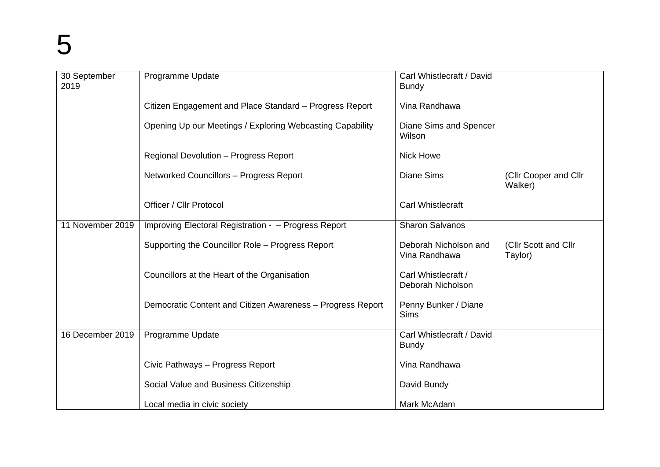| 30 September<br>2019 | Programme Update                                           | Carl Whistlecraft / David<br><b>Bundy</b> |                                  |
|----------------------|------------------------------------------------------------|-------------------------------------------|----------------------------------|
|                      | Citizen Engagement and Place Standard - Progress Report    | Vina Randhawa                             |                                  |
|                      | Opening Up our Meetings / Exploring Webcasting Capability  | Diane Sims and Spencer<br>Wilson          |                                  |
|                      | Regional Devolution - Progress Report                      | <b>Nick Howe</b>                          |                                  |
|                      | Networked Councillors - Progress Report                    | <b>Diane Sims</b>                         | (Cllr Cooper and Cllr<br>Walker) |
|                      | <b>Officer / Cllr Protocol</b>                             | <b>Carl Whistlecraft</b>                  |                                  |
| 11 November 2019     | Improving Electoral Registration - - Progress Report       | <b>Sharon Salvanos</b>                    |                                  |
|                      | Supporting the Councillor Role - Progress Report           | Deborah Nicholson and<br>Vina Randhawa    | (Cllr Scott and Cllr<br>Taylor)  |
|                      | Councillors at the Heart of the Organisation               | Carl Whistlecraft /<br>Deborah Nicholson  |                                  |
|                      | Democratic Content and Citizen Awareness - Progress Report | Penny Bunker / Diane<br><b>Sims</b>       |                                  |
| 16 December 2019     | Programme Update                                           | Carl Whistlecraft / David<br><b>Bundy</b> |                                  |
|                      | Civic Pathways - Progress Report                           | Vina Randhawa                             |                                  |
|                      | Social Value and Business Citizenship                      | David Bundy                               |                                  |
|                      | Local media in civic society                               | Mark McAdam                               |                                  |